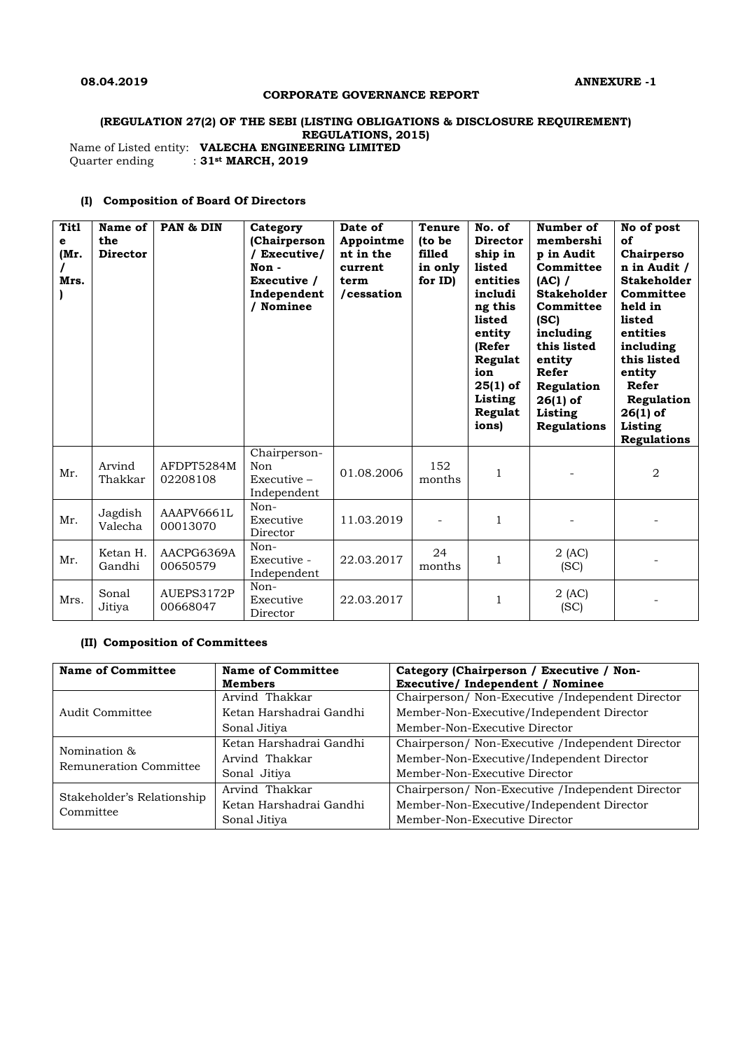### **CORPORATE GOVERNANCE REPORT**

# **(REGULATION 27(2) OF THE SEBI (LISTING OBLIGATIONS & DISCLOSURE REQUIREMENT) REGULATIONS, 2015)**

Name of Listed entity: **VALECHA ENGINEERING LIMITED** Quarter ending : **31st MARCH, 2019**

## **(I) Composition of Board Of Directors**

| <b>Titl</b><br>е<br>(Mr.<br>Mrs. | Name of<br>the<br><b>Director</b> | PAN & DIN              | Category<br>(Chairperson<br>/ Executive/<br>Non-<br>Executive /<br>Independent<br>/ Nominee | Date of<br>Appointme<br>nt in the<br>current<br>term<br>/cessation | <b>Tenure</b><br>(to be<br>filled<br>in only<br>for ID) | No. of<br><b>Director</b><br>ship in<br>listed<br>entities<br>includi<br>ng this<br>listed<br>entity<br>(Refer<br>Regulat<br>ion<br>$25(1)$ of<br>Listing<br>Regulat<br>ions) | Number of<br>membershi<br>p in Audit<br>Committee<br>(AC) /<br><b>Stakeholder</b><br>Committee<br>(SC)<br>including<br>this listed<br>entity<br>Refer<br>Regulation<br>$26(1)$ of<br>Listing<br><b>Regulations</b> | No of post<br>of<br>Chairperso<br>n in Audit /<br><b>Stakeholder</b><br>Committee<br>held in<br>listed<br>entities<br>including<br>this listed<br>entity<br>Refer<br>Regulation<br>$26(1)$ of<br>Listing<br><b>Regulations</b> |
|----------------------------------|-----------------------------------|------------------------|---------------------------------------------------------------------------------------------|--------------------------------------------------------------------|---------------------------------------------------------|-------------------------------------------------------------------------------------------------------------------------------------------------------------------------------|--------------------------------------------------------------------------------------------------------------------------------------------------------------------------------------------------------------------|--------------------------------------------------------------------------------------------------------------------------------------------------------------------------------------------------------------------------------|
| Mr.                              | Arvind<br>Thakkar                 | AFDPT5284M<br>02208108 | Chairperson-<br>Non<br>$Executive -$<br>Independent                                         | 01.08.2006                                                         | 152<br>months                                           | 1                                                                                                                                                                             |                                                                                                                                                                                                                    | 2                                                                                                                                                                                                                              |
| Mr.                              | Jagdish<br>Valecha                | AAAPV6661L<br>00013070 | Non-<br>Executive<br>Director                                                               | 11.03.2019                                                         |                                                         | $\mathbf{1}$                                                                                                                                                                  |                                                                                                                                                                                                                    |                                                                                                                                                                                                                                |
| Mr.                              | Ketan H.<br>Gandhi                | AACPG6369A<br>00650579 | Non-<br>Executive -<br>Independent                                                          | 22.03.2017                                                         | 24<br>months                                            | $\mathbf{1}$                                                                                                                                                                  | $2$ (AC)<br>(SC)                                                                                                                                                                                                   |                                                                                                                                                                                                                                |
| Mrs.                             | Sonal<br>Jitiya                   | AUEPS3172P<br>00668047 | Non-<br>Executive<br>Director                                                               | 22.03.2017                                                         |                                                         | $\mathbf{1}$                                                                                                                                                                  | $2$ (AC)<br>(SC)                                                                                                                                                                                                   |                                                                                                                                                                                                                                |

### **(II) Composition of Committees**

| <b>Name of Committee</b>   | <b>Name of Committee</b> | Category (Chairperson / Executive / Non-          |  |
|----------------------------|--------------------------|---------------------------------------------------|--|
|                            | <b>Members</b>           | Executive/ Independent / Nominee                  |  |
|                            | Arvind Thakkar           | Chairperson/ Non-Executive /Independent Director  |  |
| Audit Committee            | Ketan Harshadrai Gandhi  | Member-Non-Executive/Independent Director         |  |
|                            | Sonal Jitiya             | Member-Non-Executive Director                     |  |
| Nomination &               | Ketan Harshadrai Gandhi  | Chairperson/ Non-Executive / Independent Director |  |
| Remuneration Committee     | Arvind Thakkar           | Member-Non-Executive/Independent Director         |  |
|                            | Sonal Jitiya             | Member-Non-Executive Director                     |  |
| Stakeholder's Relationship | Arvind Thakkar           | Chairperson/ Non-Executive /Independent Director  |  |
|                            | Ketan Harshadrai Gandhi  | Member-Non-Executive/Independent Director         |  |
| Committee                  | Sonal Jitiya             | Member-Non-Executive Director                     |  |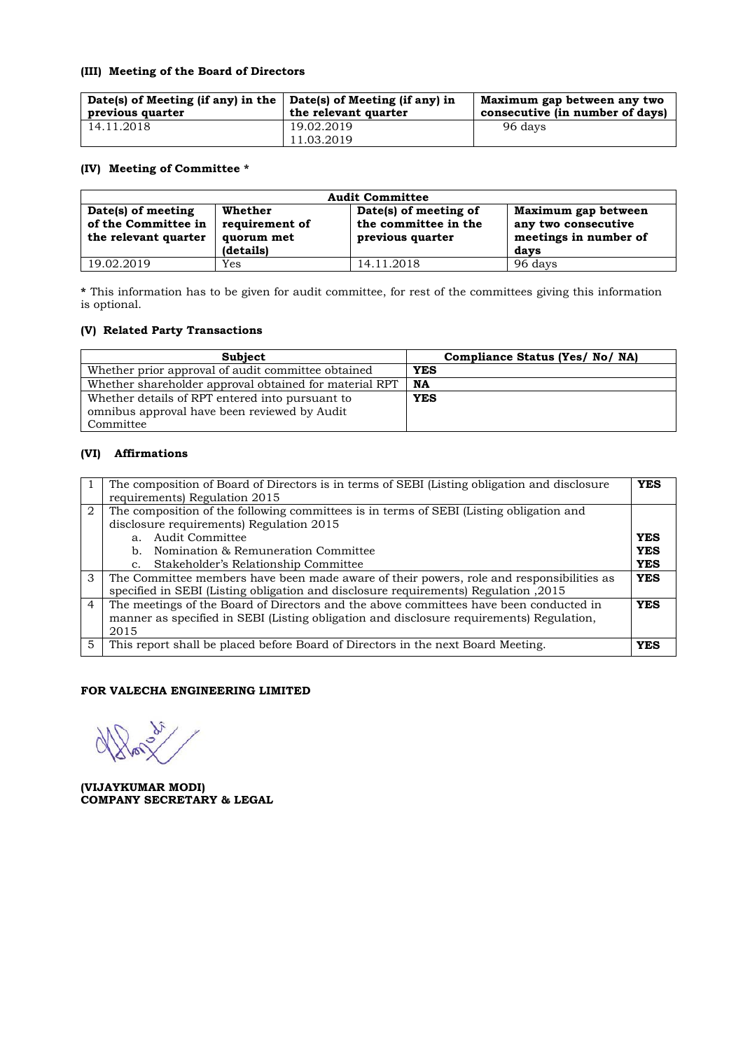#### **(III) Meeting of the Board of Directors**

| Date(s) of Meeting (if any) in the $\vert$ Date(s) of Meeting (if any) in<br>previous quarter | the relevant quarter     | Maximum gap between any two<br>consecutive (in number of days) |
|-----------------------------------------------------------------------------------------------|--------------------------|----------------------------------------------------------------|
| 14.11.2018                                                                                    | 19.02.2019<br>11.03.2019 | 96 days                                                        |

### **(IV) Meeting of Committee \***

| <b>Audit Committee</b>                                                                                                    |     |                                                                   |                                                                             |  |
|---------------------------------------------------------------------------------------------------------------------------|-----|-------------------------------------------------------------------|-----------------------------------------------------------------------------|--|
| Date(s) of meeting<br>Whether<br>of the Committee in<br>requirement of<br>the relevant quarter<br>quorum met<br>(details) |     | Date(s) of meeting of<br>the committee in the<br>previous quarter | Maximum gap between<br>any two consecutive<br>meetings in number of<br>days |  |
| 19.02.2019                                                                                                                | Yes | 14.11.2018                                                        | 96 days                                                                     |  |

**\*** This information has to be given for audit committee, for rest of the committees giving this information is optional.

## **(V) Related Party Transactions**

| <b>Subject</b>                                         | Compliance Status (Yes/ No/ NA) |
|--------------------------------------------------------|---------------------------------|
| Whether prior approval of audit committee obtained     | <b>YES</b>                      |
| Whether shareholder approval obtained for material RPT | NA                              |
| Whether details of RPT entered into pursuant to        | <b>YES</b>                      |
| omnibus approval have been reviewed by Audit           |                                 |
| Committee                                              |                                 |

#### **(VI) Affirmations**

|                | The composition of Board of Directors is in terms of SEBI (Listing obligation and disclosure<br><b>YES</b><br>requirements) Regulation 2015                                                |            |  |
|----------------|--------------------------------------------------------------------------------------------------------------------------------------------------------------------------------------------|------------|--|
| 2              | The composition of the following committees is in terms of SEBI (Listing obligation and<br>disclosure requirements) Regulation 2015                                                        |            |  |
|                | a. Audit Committee                                                                                                                                                                         | <b>YES</b> |  |
|                | b. Nomination & Remuneration Committee                                                                                                                                                     | <b>YES</b> |  |
|                | Stakeholder's Relationship Committee<br>C <sub>1</sub>                                                                                                                                     | <b>YES</b> |  |
| 3              | The Committee members have been made aware of their powers, role and responsibilities as<br>specified in SEBI (Listing obligation and disclosure requirements) Regulation ,2015            | <b>YES</b> |  |
| $\overline{4}$ | The meetings of the Board of Directors and the above committees have been conducted in<br>manner as specified in SEBI (Listing obligation and disclosure requirements) Regulation,<br>2015 | <b>YES</b> |  |
| 5              | This report shall be placed before Board of Directors in the next Board Meeting.                                                                                                           | <b>YES</b> |  |

## **FOR VALECHA ENGINEERING LIMITED**

**(VIJAYKUMAR MODI) COMPANY SECRETARY & LEGAL**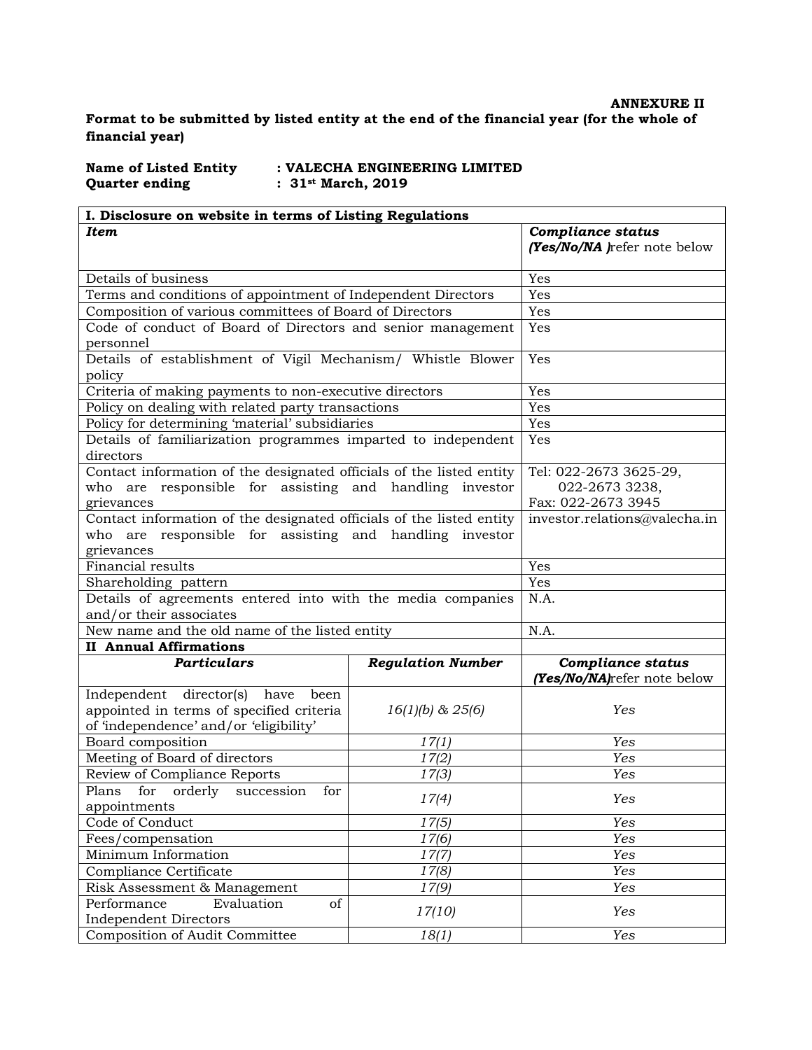# **ANNEXURE II Format to be submitted by listed entity at the end of the financial year (for the whole of financial year)**

Name of Listed Entity : VALECHA ENGINEERING LIMITED<br>Quarter ending : 31<sup>st</sup> March, 2019 **Quarter ending : 31st March, 2019**

| I. Disclosure on website in terms of Listing Regulations                                                                                      |                          |                                                                |  |
|-----------------------------------------------------------------------------------------------------------------------------------------------|--------------------------|----------------------------------------------------------------|--|
| <b>Item</b>                                                                                                                                   |                          | <b>Compliance status</b><br>(Yes/No/NA )refer note below       |  |
| Details of business                                                                                                                           |                          | Yes                                                            |  |
| Terms and conditions of appointment of Independent Directors                                                                                  |                          | Yes                                                            |  |
| Composition of various committees of Board of Directors                                                                                       |                          | Yes                                                            |  |
| Code of conduct of Board of Directors and senior management<br>personnel                                                                      |                          | Yes                                                            |  |
| Details of establishment of Vigil Mechanism/ Whistle Blower<br>policy                                                                         |                          | Yes                                                            |  |
| Criteria of making payments to non-executive directors                                                                                        |                          | Yes                                                            |  |
| Policy on dealing with related party transactions                                                                                             |                          | Yes                                                            |  |
| Policy for determining 'material' subsidiaries                                                                                                |                          | Yes                                                            |  |
| Details of familiarization programmes imparted to independent<br>directors                                                                    |                          | Yes                                                            |  |
| Contact information of the designated officials of the listed entity<br>who are responsible for assisting and handling investor<br>grievances |                          | Tel: 022-2673 3625-29,<br>022-2673 3238,<br>Fax: 022-2673 3945 |  |
| Contact information of the designated officials of the listed entity<br>who are responsible for assisting and handling investor<br>grievances |                          | investor.relations@valecha.in                                  |  |
| Financial results                                                                                                                             |                          | Yes                                                            |  |
| Shareholding pattern                                                                                                                          |                          | Yes                                                            |  |
| Details of agreements entered into with the media companies                                                                                   |                          | N.A.                                                           |  |
| and/or their associates                                                                                                                       |                          |                                                                |  |
| New name and the old name of the listed entity                                                                                                |                          | N.A.                                                           |  |
| <b>II Annual Affirmations</b>                                                                                                                 |                          |                                                                |  |
| <b>Particulars</b>                                                                                                                            | <b>Regulation Number</b> | <b>Compliance status</b><br>(Yes/No/NA)refer note below        |  |
| Independent director(s) have been<br>appointed in terms of specified criteria<br>of 'independence' and/or 'eligibility'                       | $16(1)(b)$ & $25(6)$     | Yes                                                            |  |
| Board composition                                                                                                                             | 17(1)                    | Yes                                                            |  |
| Meeting of Board of directors                                                                                                                 | 17(2)                    | Yes                                                            |  |
| Review of Compliance Reports                                                                                                                  | 17(3)                    | Yes                                                            |  |
| Plans for orderly succession<br>for<br>appointments                                                                                           | 17(4)                    | Yes                                                            |  |
| Code of Conduct                                                                                                                               | 17(5)                    | Yes                                                            |  |
| Fees/compensation                                                                                                                             | 17(6)                    | Yes                                                            |  |
| Minimum Information                                                                                                                           | 17(7)                    | Yes                                                            |  |
| Compliance Certificate                                                                                                                        | 17(8)                    | Yes                                                            |  |
| Risk Assessment & Management                                                                                                                  | 17(9)                    | Yes                                                            |  |
| Performance<br>Evaluation<br>of<br><b>Independent Directors</b>                                                                               | 17(10)                   | Yes                                                            |  |
| Composition of Audit Committee                                                                                                                | 18(1)                    | Yes                                                            |  |